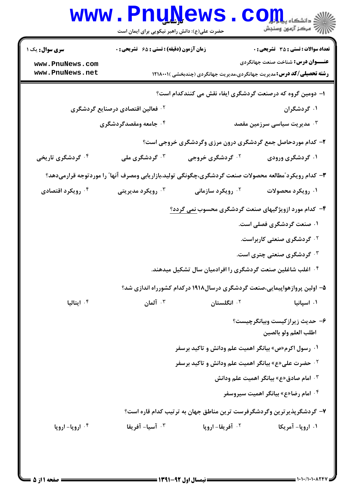|                                                                                                        | www.PnuNews.                                                                                                             |                                                                          | الله دانشگاه پیامبرا<br>الله عرکز آزمهن وسنجش           |  |
|--------------------------------------------------------------------------------------------------------|--------------------------------------------------------------------------------------------------------------------------|--------------------------------------------------------------------------|---------------------------------------------------------|--|
|                                                                                                        | حضرت علی(ع): دانش راهبر نیکویی برای ایمان است                                                                            |                                                                          |                                                         |  |
| <b>سری سوال :</b> یک ۱                                                                                 | زمان آزمون (دقیقه) : تستی : ۶۵ گتشریحی : 0                                                                               |                                                                          | <b>تعداد سوالات : تستی : 35 تشریحی : 0</b>              |  |
| www.PnuNews.com<br>www.PnuNews.net                                                                     | <b>عنـــوان درس:</b> شناخت صنعت جهانگردی<br><b>رشته تحصیلی/کد درس:</b> مدیریت جهانگردی،مدیریت جهانگردی (چندبخشی )۱۲۱۸۰۰۱ |                                                                          |                                                         |  |
|                                                                                                        |                                                                                                                          | ا– دومین گروه که درصنعت گردشگری ایفاء نقش می کنندکدام است؟               |                                                         |  |
|                                                                                                        | <sup>۲</sup> ۰ فعالین اقتصادی درصنایع گردشگری                                                                            |                                                                          | ۰۱ گردشگران                                             |  |
|                                                                                                        | ۰۴ جامعه ومقصدگردشگری                                                                                                    |                                                                          | هدیریت سیاسی سرزمین مقصد $\cdot^{\texttt{w}}$           |  |
|                                                                                                        |                                                                                                                          | ۲- کدام موردحاصل جمع گردشگری درون مرزی وگردشگری خروجی است؟               |                                                         |  |
| ۰۴ گردشگری تاریخی                                                                                      | ۰ <sup>۳</sup> گردشگری ملی                                                                                               | <sup>۲.</sup> گردشگری خروجی                                              | ۰۱ گردشگری ورودی                                        |  |
| ۳- کدام رویکرد ّمطالعه محصولات صنعت گردشگری،چگونگی تولید،بازاریابی ومصرف آنها ّ را موردتوجه قرارمیدهد؟ |                                                                                                                          |                                                                          |                                                         |  |
| ۰ <sup>۴</sup> رویکرد اقتصادی                                                                          | رویکرد مدیریتی $\cdot^{\mathsf{y}}$                                                                                      | ۰ <sup>۲</sup> رویکرد سازمانی                                            | ۰۱ رویکرد محصولات                                       |  |
|                                                                                                        |                                                                                                                          | ۴- کدام مورد ازویژگیهای صنعت گردشگری محسوب <u>نمی</u> گردد؟              |                                                         |  |
|                                                                                                        |                                                                                                                          |                                                                          | ۰۱ صنعت گردشگری فصلی است.                               |  |
|                                                                                                        |                                                                                                                          |                                                                          | ۰ <sup>۲ گ</sup> ردشگری صنعتی کاربراست.                 |  |
|                                                                                                        |                                                                                                                          |                                                                          | ۰ <sup>۳ گ</sup> ردشگری صنعتی چتری است.                 |  |
|                                                                                                        |                                                                                                                          | ۰۴ اغلب شاغلین صنعت گردشگری را افرادمیان سال تشکیل میدهند.               |                                                         |  |
|                                                                                                        |                                                                                                                          | ۵– اولین پروازهواپیمایی،صنعت گردشگری درسال۱۹۱۸ درکدام کشورراه اندازی شد؟ |                                                         |  |
| ۰۴ ایتالیا                                                                                             | ا آلمان $\cdot$                                                                                                          | ۰ <sup>۲</sup> انگلستان                                                  | ۰۱ اسپانیا                                              |  |
|                                                                                                        |                                                                                                                          |                                                                          | ۶– حدیث زیرازکیست وبیانگرچیست؟<br>اطلب العلم ولو بالصين |  |
|                                                                                                        |                                                                                                                          | ۰۱ رسول اکرم«ص» بیانگر اهمیت علم ودانش و تاکید برسفر                     |                                                         |  |
|                                                                                                        |                                                                                                                          | <sup>۲.</sup> حضرت علی«ع» بیانگر اهمیت علم ودانش و تاکید برسفر           |                                                         |  |
|                                                                                                        |                                                                                                                          |                                                                          | ۰۳ امام صادق«ع» بیانگر اهمیت علم ودانش                  |  |
|                                                                                                        |                                                                                                                          |                                                                          | ۰۴ امام رضا«ع» بیانگر اهمیت سیروسفر                     |  |
|                                                                                                        |                                                                                                                          | ۷– گردشگرپذیر ترین وگردشگرفرست ترین مناطق جهان به ترتیب کدام قاره است؟   |                                                         |  |
| ۰۴ اروپا- اروپا                                                                                        | ۰ <sup>۳</sup> آسیا- آفریقا                                                                                              | <b>1. آفريقا- اروپا</b>                                                  | ۰۱ اروپا- آمریکا                                        |  |
|                                                                                                        |                                                                                                                          |                                                                          |                                                         |  |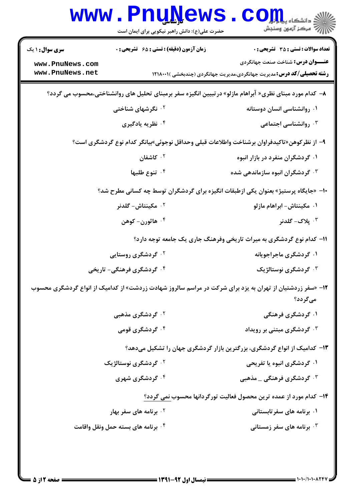|                                                                                                                      | <b>www.PnuNews</b><br>حضرت علی(ع): دانش راهبر نیکویی برای ایمان است | ر آمرڪز آزمون وسنڊش                                                                                                      |  |  |
|----------------------------------------------------------------------------------------------------------------------|---------------------------------------------------------------------|--------------------------------------------------------------------------------------------------------------------------|--|--|
| <b>سری سوال :</b> ۱ یک                                                                                               | زمان آزمون (دقیقه) : تستی : ۶۵ گشریحی : 0                           | <b>تعداد سوالات : تستی : 35 - تشریحی : 0</b>                                                                             |  |  |
| www.PnuNews.com<br>www.PnuNews.net                                                                                   |                                                                     | <b>عنـــوان درس:</b> شناخت صنعت جهانگردی<br><b>رشته تحصیلی/کد درس:</b> مدیریت جهانگردی،مدیریت جهانگردی (چندبخشی )۱۲۱۸۰۰۱ |  |  |
| ۸– کدام مورد مبنای نظری« آبراهام مازلو» درتبیین انگیزه سفر برمبنای تحلیل های روانشناختی،محسوب می گردد؟               |                                                                     |                                                                                                                          |  |  |
|                                                                                                                      | <b>۲ نگرشهای شناختی</b>                                             | ۰۱ روانشناسی انسان دوستانه                                                                                               |  |  |
|                                                                                                                      | ۰۴ نظریه یادگیری                                                    | روانشناسی اجتماعی $\cdot^{\mathsf{y}}$                                                                                   |  |  |
| ۹– از نظرکوهن«تاکیدفراوان برشناخت واطلاعات قبلی وحداقل نوجوئی»بیانگر کدام نوع گردشگری است؟                           |                                                                     |                                                                                                                          |  |  |
|                                                                                                                      | ۲. کاشفان                                                           | ۰۱ گردشگران منفرد در بازار انبوه                                                                                         |  |  |
|                                                                                                                      | ۰۴ تنوع طلبها                                                       | <b>۰۳ گردشگران انبوه سازماندهی شده</b>                                                                                   |  |  |
| ∙۱- «جایگاه پرستیژ» بعنوان یکی ازطبقات انگیزه برای گردشگران توسط چه کسانی مطرح شد؟                                   |                                                                     |                                                                                                                          |  |  |
|                                                                                                                      | ۰ <sup>۲</sup> مکینتاش- <i>گ</i> لدنر                               | ۰۱ مکینتاش- ابراهام مازلو                                                                                                |  |  |
|                                                                                                                      | ۰۴ هاثورن- کوهن                                                     | ۰۳ پلاک- <i>گ</i> لدنر                                                                                                   |  |  |
|                                                                                                                      |                                                                     | 1۱– کدام نوع گردشگری به میراث تاریخی وفرهنگ جاری یک جامعه توجه دارد؟                                                     |  |  |
|                                                                                                                      | <sup>۲.</sup> گردشگری روستایی                                       | ۰۱ گردشگری ماجراجویانه                                                                                                   |  |  |
|                                                                                                                      | ۰ <sup>۴ ک</sup> ردشگری فرهنگی- تاریخی                              | ۰ <sup>۳</sup> گردشگری نوستالژیک                                                                                         |  |  |
| ۱۲- «سفر زردشتیان از تهران به یزد برای شرکت در مراسم سالروز شهادت زردشت» از کدامیک از انواع گردشگری محسوب<br>میگردد؟ |                                                                     |                                                                                                                          |  |  |
|                                                                                                                      | ۰ <sup>۲</sup> گردشگری مذهبی                                        | ۰۱ گردشگری فرهنگی                                                                                                        |  |  |
|                                                                                                                      | ۰ <sup>۴ گ</sup> ردشگری قومی                                        | ر ویداد گردشگری مبتنی بر رویداد $\cdot$                                                                                  |  |  |
|                                                                                                                      |                                                                     | ۱۳- کدامیک از انواع گردشگری، بزرگترین بازار گردشگری جهان را تشکیل میدهد؟                                                 |  |  |
|                                                                                                                      | ۰ <sup>۲</sup> گردشگری نوستالژیک                                    | ۰۱ گردشگری انبوه یا تفریحی                                                                                               |  |  |
|                                                                                                                      | ۰۴ گردشگری شهری                                                     | ۰ <sup>۳ ک</sup> ردشگری فرهنگی _ مذهبی                                                                                   |  |  |
|                                                                                                                      |                                                                     | ۱۴– کدام مورد از عمده ترین محصول فعالیت تورگردانها محسوب نمی گردد؟                                                       |  |  |
|                                                                                                                      | <sup>۲ .</sup> برنامه های سفر بهار                                  | ۰۱ برنامه های سفرتابستانی                                                                                                |  |  |
|                                                                                                                      | ۰۴ برنامه های بسته حمل ونقل واقامت                                  | ۰ <sup>۳</sup> برنامه های سفر زمستانی $\cdot$                                                                            |  |  |
|                                                                                                                      |                                                                     |                                                                                                                          |  |  |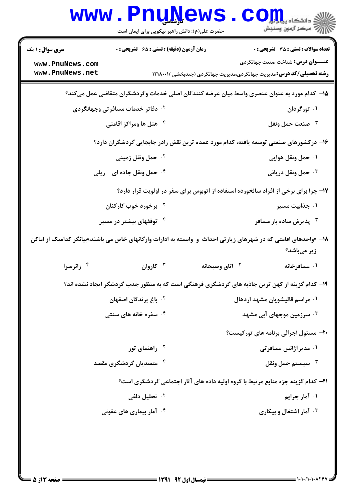|                                                                                                                                 | <b>www.Pnunews</b><br>حضرت علی(ع): دانش راهبر نیکویی برای ایمان است                            |                               | $COz$ $z$ and $z$ and $z$<br>رِ ۖ مرڪز آزمون وسنڊش                                                                                |  |
|---------------------------------------------------------------------------------------------------------------------------------|------------------------------------------------------------------------------------------------|-------------------------------|-----------------------------------------------------------------------------------------------------------------------------------|--|
| <b>سری سوال : ۱ یک</b>                                                                                                          | <b>زمان آزمون (دقیقه) : تستی : 65 ٪ تشریحی : 0</b>                                             |                               | <b>تعداد سوالات : تستي : 35 ٪ تشریحي : 0</b>                                                                                      |  |
| www.PnuNews.com<br>www.PnuNews.net                                                                                              |                                                                                                |                               | <b>عنـــوان درس:</b> شناخت صنعت جهانگردی<br><b>رشته تحصیلی/کد درس:</b> مدیریت جهانگردی،مدیریت جهانگردی (چندبخشی )۱۲۱۸۰۰۱ <b>۱</b> |  |
| ۱۵– کدام مورد به عنوان عنصری واسط میان عرضه کنندگان اصلی خدمات وگردشگران متقاضی عمل میکند؟                                      |                                                                                                |                               |                                                                                                                                   |  |
| ۰۱ تورگردان<br><b>7 . دفاتر خدمات مسافرتی وجهانگردی</b>                                                                         |                                                                                                |                               |                                                                                                                                   |  |
| ۰۴ هتل ها ومراکز اقامتی                                                                                                         |                                                                                                |                               | صنعت حمل ونقل $\cdot^{\mathsf{v}}$                                                                                                |  |
| ۱۶– درکشورهای صنعتی توسعه یافته، کدام مورد عمده ترین نقش رادر جابجایی گردشگران دارد؟                                            |                                                                                                |                               |                                                                                                                                   |  |
|                                                                                                                                 | ۰ <sup>۲</sup> حمل ونقل زمینی                                                                  |                               | ۰۱ حمل ونقل هوایی                                                                                                                 |  |
| ۰۴ حمل ونقل جاده ای - ریلی                                                                                                      |                                                                                                |                               | حمل ونقل دريائي $\cdot^{\mathsf{v}}$                                                                                              |  |
|                                                                                                                                 |                                                                                                |                               | ۱۷- چرا برای برخی از افراد سالخورده استفاده از اتوبوس برای سفر در اولویت قرار دارد؟                                               |  |
|                                                                                                                                 | ۰ <sup>۲</sup> برخورد خوب کارکنان                                                              |                               | ۰۱ جذابیت مسیر                                                                                                                    |  |
|                                                                                                                                 | ۰۴ توقفهای بیشتر در مسیر                                                                       |                               | ۰ <sup>۳</sup> پذیرش ساده بار مسافر                                                                                               |  |
| ۱۸– «واحدهای اقامتی که در شهرهای زیارتی احداث  و  وابسته به ادارات وارگانهای خاص می باشند»بیانگر کدامیک از اماکن<br>زیر میباشد؟ |                                                                                                |                               |                                                                                                                                   |  |
| ۰ <sup>۴</sup> زائرسرا                                                                                                          | لا، کاروان $\cdot$                                                                             | ۰ <sup>۲</sup> اتاق وصبحانه   | ۰۱ مسافرخانه                                                                                                                      |  |
|                                                                                                                                 | ۱۹– کدام گزینه از کهن ترین جاذبه های گردشگری فرهنگی است که به منظور جذب گردشگر ایجاد نشده اند؟ |                               |                                                                                                                                   |  |
| ۰ <sup>۲</sup> باغ پرندگان اصفهان<br>۰۱ مراسم قالیشویان مشهد اردهال                                                             |                                                                                                |                               |                                                                                                                                   |  |
| ۰۴ سفره خانه های سنتی                                                                                                           |                                                                                                | سرزمین موجهای آبی مشهد "      |                                                                                                                                   |  |
|                                                                                                                                 |                                                                                                |                               | <b>۲۰-</b> مسئول اجرائی برنامه های تورکیست؟                                                                                       |  |
|                                                                                                                                 | ۰ <sup>۲</sup> راهنمای تور                                                                     |                               | ۰۱ مدیر آژانس مسافرتی                                                                                                             |  |
| ۰ <sup>۴</sup> متصدیان گردشگری مقصد                                                                                             |                                                                                                | ۰ <sup>۳</sup> سيستم حمل ونقل |                                                                                                                                   |  |
| ۲۱- کدام گزینه جزء منابع مرتبط با گروه اولیه داده های آثار اجتماعی گردشگری است؟                                                 |                                                                                                |                               |                                                                                                                                   |  |
|                                                                                                                                 | ۲.  تحلیل دلفی                                                                                 |                               | ۰۱ آمار جرایم                                                                                                                     |  |
|                                                                                                                                 | ۰ <sup>۴</sup> آمار بیماری های عفونی                                                           |                               | ۰ <sup>۳</sup> آمار اشتغال و بیکاری                                                                                               |  |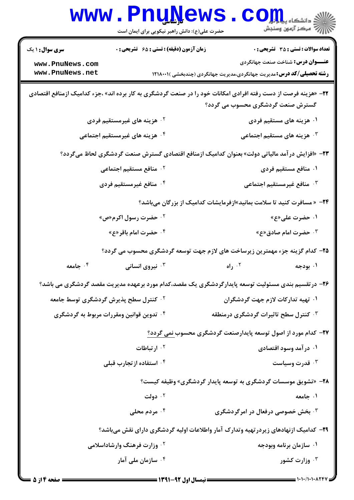|                                                                                                        | <b>www.PnuNews</b><br>حضرت علی(ع): دانش راهبر نیکویی برای ایمان است | $\mathbf{C}\mathbf{O}\mathbf{H}$ و دانشڪاه پ<br>أأأأ مركز آزمون وسنجش                                                                                                    |  |  |
|--------------------------------------------------------------------------------------------------------|---------------------------------------------------------------------|--------------------------------------------------------------------------------------------------------------------------------------------------------------------------|--|--|
| <b>سری سوال :</b> ۱ یک<br>www.PnuNews.com<br>www.PnuNews.net                                           | <b>زمان آزمون (دقیقه) : تستی : 65 ٪ تشریحی : 0</b>                  | <b>تعداد سوالات : تستي : 35 ٪ تشریحي : 0</b><br><b>عنـــوان درس:</b> شناخت صنعت جهانگردی<br><b>رشته تحصیلی/کد درس:</b> مدیریت جهانگردی،مدیریت جهانگردی (چندبخشی )۱۲۱۸۰۰۱ |  |  |
|                                                                                                        |                                                                     | <b>۲۲</b> - «هزینه فرصت از دست رفته افرادی امکانات خود را در صنعت گردشگری به کار برده اند» ،جزء کدامیک ازمنافع اقتصادی<br>گسترش صنعت گردشگری محسوب می گردد؟              |  |  |
|                                                                                                        | <sup>۰۲</sup> هزینه های غیرمستقیم فردی                              | ۰۱ هزینه های مستقیم فردی                                                                                                                                                 |  |  |
| ۰۴ هزینه های غیرمستقیم اجتماعی                                                                         |                                                                     | ۰ <sup>۳</sup> هزینه های مستقیم اجتماعی                                                                                                                                  |  |  |
| <b>۲۳</b> – «افزایش در آمد مالیاتی دولت» بعنوان کدامیک ازمنافع اقتصادی گسترش صنعت گردشگری لحاظ میگردد؟ |                                                                     |                                                                                                                                                                          |  |  |
|                                                                                                        | ۰ <sup>۲</sup> منافع مستقیم اجتماعی                                 | ۰۱ منافع مستقیم فردی                                                                                                                                                     |  |  |
|                                                                                                        | ۰۴ منافع غیرمستقیم فردی                                             | ۰ <sup>۳</sup> منافع غیرمستقیم اجتماعی                                                                                                                                   |  |  |
|                                                                                                        |                                                                     | <b>۲۴</b> - «مسافرت کنید تا سلامت بمانید»ازفرمایشات کدامیک از بزرگان میباشد؟                                                                                             |  |  |
|                                                                                                        | ۰ <sup>۲</sup> حضرت رسول اکرم«ص»                                    | ۰۱ حضرت علی«ع»                                                                                                                                                           |  |  |
|                                                                                                        | ۰۴ حضرت امام باقر«ع»                                                | ۰ <sup>۳</sup> حضرت امام صادق«ع»                                                                                                                                         |  |  |
|                                                                                                        |                                                                     | ۲۵– کدام گزینه جزء مهمترین زیرساخت های لازم جهت توسعه گردشگری محسوب می گردد؟                                                                                             |  |  |
| ۰۴ جامعه                                                                                               | نیروی انسانی $\cdot^{\mathsf{v}}$                                   | ۰۲ راه<br>۰۱ بودجه                                                                                                                                                       |  |  |
|                                                                                                        |                                                                     | ۲۶– در تقسیم بندی مسئولیت توسعه پایدارگردشگری یک مقصد،کدام مورد برعهده مدیریت مقصد گردشگری می باشد؟                                                                      |  |  |
| <sup>۲</sup> ۰ کنترل سطح پذیرش گردشگری توسط جامعه                                                      |                                                                     | ۰۱ تهیه تدارکات لازم جهت گردشگران                                                                                                                                        |  |  |
| ۰۴ تدوین قوانین ومقررات مربوط به گردشگری                                                               |                                                                     | ۰ <sup>۳ ک</sup> نترل سطح تاثیرات گردشگری درمنطقه                                                                                                                        |  |  |
|                                                                                                        |                                                                     | ۲۷– کدام مورد از اصول توسعه پایدارصنعت گردشگری محسوب نمی گردد؟                                                                                                           |  |  |
|                                                                                                        | ۰ <sup>۲</sup> ارتباطات                                             | ۰۱ در آمد وسود اقتصادی                                                                                                                                                   |  |  |
|                                                                                                        | ۰۴ استفاده از تجارب قبلی                                            | قدرت وسیاست $\cdot^{\mathtt{w}}$                                                                                                                                         |  |  |
|                                                                                                        |                                                                     | ۲۸- «تشویق موسسات گردشگری به توسعه پایدار گردشگری» وظیفه کیست؟                                                                                                           |  |  |
|                                                                                                        | ۰۲ دولت                                                             | ۰۱ جامعه                                                                                                                                                                 |  |  |
|                                                                                                        | ۰۴ مردم محلی                                                        | ۰ <sup>۳</sup> بخش خصوصی درفعال در امرگردشگری                                                                                                                            |  |  |
|                                                                                                        |                                                                     | ۲۹– کدامیک ازنهادهای زیردرتهیه وتدارک آمار واطلاعات اولیه گردشگری دارای نقش میباشد؟                                                                                      |  |  |
|                                                                                                        | <b>گ وزارت فرهنگ وارشاداسلامی</b>                                   | ۰۱ سازمان برنامه وبودجه                                                                                                                                                  |  |  |
|                                                                                                        | ۰ <sup>۴</sup> سازمان ملی آمار                                      | وزارت کشور $\cdot$                                                                                                                                                       |  |  |
|                                                                                                        |                                                                     | $\frac{1}{2}$ ) $\cdot$ ) $\cdot$ / ) $\cdot$ ) $\cdot$ $\wedge$ $\wedge$ $\wedge$ $\wedge$ $\wedge$                                                                     |  |  |